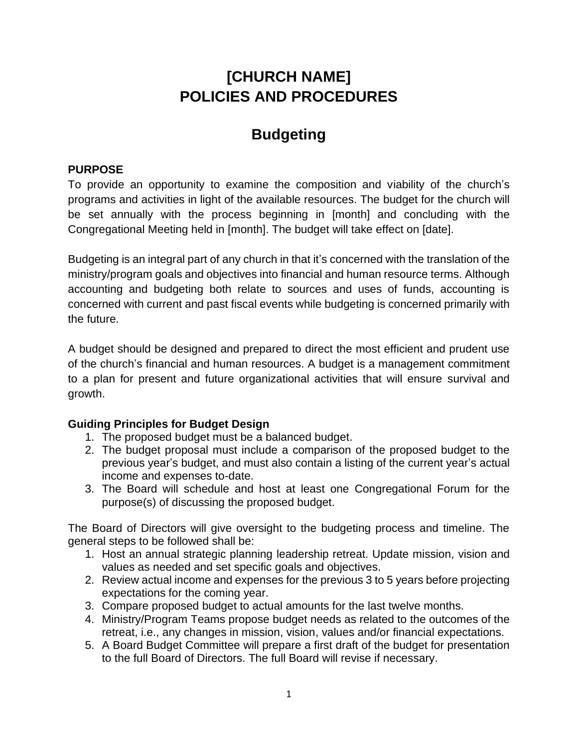# **[CHURCH NAME] POLICIES AND PROCEDURES**

# **Budgeting**

### **PURPOSE**

To provide an opportunity to examine the composition and viability of the church's programs and activities in light of the available resources. The budget for the church will be set annually with the process beginning in [month] and concluding with the Congregational Meeting held in [month]. The budget will take effect on [date].

Budgeting is an integral part of any church in that it's concerned with the translation of the ministry/program goals and objectives into financial and human resource terms. Although accounting and budgeting both relate to sources and uses of funds, accounting is concerned with current and past fiscal events while budgeting is concerned primarily with the future.

A budget should be designed and prepared to direct the most efficient and prudent use of the church's financial and human resources. A budget is a management commitment to a plan for present and future organizational activities that will ensure survival and growth.

### **Guiding Principles for Budget Design**

- 1. The proposed budget must be a balanced budget.
- 2. The budget proposal must include a comparison of the proposed budget to the previous year's budget, and must also contain a listing of the current year's actual income and expenses to-date.
- 3. The Board will schedule and host at least one Congregational Forum for the purpose(s) of discussing the proposed budget.

The Board of Directors will give oversight to the budgeting process and timeline. The general steps to be followed shall be:

- 1. Host an annual strategic planning leadership retreat. Update mission, vision and values as needed and set specific goals and objectives.
- 2. Review actual income and expenses for the previous 3 to 5 years before projecting expectations for the coming year.
- 3. Compare proposed budget to actual amounts for the last twelve months.
- 4. Ministry/Program Teams propose budget needs as related to the outcomes of the retreat, i.e., any changes in mission, vision, values and/or financial expectations.
- 5. A Board Budget Committee will prepare a first draft of the budget for presentation to the full Board of Directors. The full Board will revise if necessary.